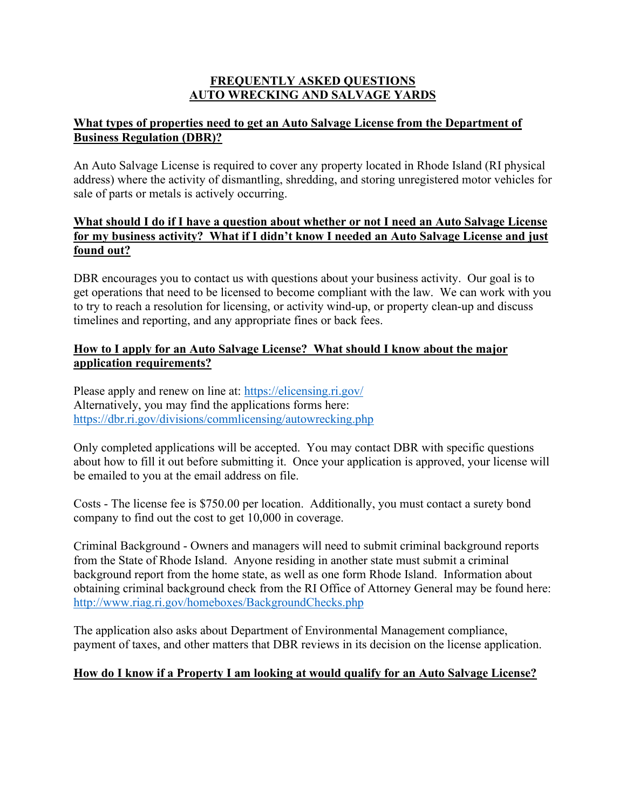### **FREQUENTLY ASKED QUESTIONS AUTO WRECKING AND SALVAGE YARDS**

## **What types of properties need to get an Auto Salvage License from the Department of Business Regulation (DBR)?**

An Auto Salvage License is required to cover any property located in Rhode Island (RI physical address) where the activity of dismantling, shredding, and storing unregistered motor vehicles for sale of parts or metals is actively occurring.

## **What should I do if I have a question about whether or not I need an Auto Salvage License for my business activity? What if I didn't know I needed an Auto Salvage License and just found out?**

DBR encourages you to contact us with questions about your business activity. Our goal is to get operations that need to be licensed to become compliant with the law. We can work with you to try to reach a resolution for licensing, or activity wind-up, or property clean-up and discuss timelines and reporting, and any appropriate fines or back fees.

## **How to I apply for an Auto Salvage License? What should I know about the major application requirements?**

Please apply and renew on line at: [https://elicensing.ri.gov/](about:blank) Alternatively, you may find the applications forms here: <https://dbr.ri.gov/divisions/commlicensing/autowrecking.php>

Only completed applications will be accepted. You may contact DBR with specific questions about how to fill it out before submitting it. Once your application is approved, your license will be emailed to you at the email address on file.

Costs - The license fee is \$750.00 per location. Additionally, you must contact a surety bond company to find out the cost to get 10,000 in coverage.

Criminal Background - Owners and managers will need to submit criminal background reports from the State of Rhode Island. Anyone residing in another state must submit a criminal background report from the home state, as well as one form Rhode Island. Information about obtaining criminal background check from the RI Office of Attorney General may be found here: <http://www.riag.ri.gov/homeboxes/BackgroundChecks.php>

The application also asks about Department of Environmental Management compliance, payment of taxes, and other matters that DBR reviews in its decision on the license application.

# **How do I know if a Property I am looking at would qualify for an Auto Salvage License?**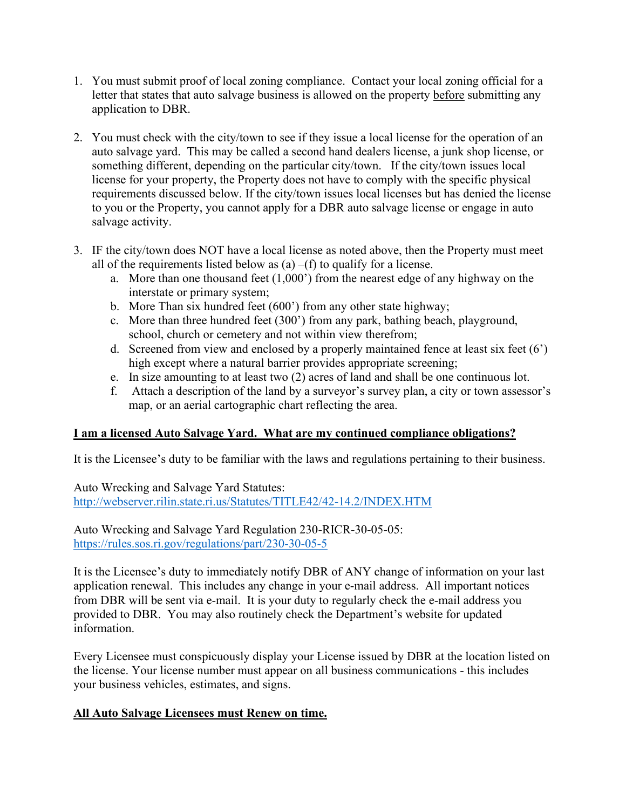- 1. You must submit proof of local zoning compliance. Contact your local zoning official for a letter that states that auto salvage business is allowed on the property before submitting any application to DBR.
- 2. You must check with the city/town to see if they issue a local license for the operation of an auto salvage yard. This may be called a second hand dealers license, a junk shop license, or something different, depending on the particular city/town. If the city/town issues local license for your property, the Property does not have to comply with the specific physical requirements discussed below. If the city/town issues local licenses but has denied the license to you or the Property, you cannot apply for a DBR auto salvage license or engage in auto salvage activity.
- 3. IF the city/town does NOT have a local license as noted above, then the Property must meet all of the requirements listed below as  $(a) - (f)$  to qualify for a license.
	- a. More than one thousand feet (1,000') from the nearest edge of any highway on the interstate or primary system;
	- b. More Than six hundred feet (600') from any other state highway;
	- c. More than three hundred feet (300') from any park, bathing beach, playground, school, church or cemetery and not within view therefrom;
	- d. Screened from view and enclosed by a properly maintained fence at least six feet (6') high except where a natural barrier provides appropriate screening;
	- e. In size amounting to at least two (2) acres of land and shall be one continuous lot.
	- f. Attach a description of the land by a surveyor's survey plan, a city or town assessor's map, or an aerial cartographic chart reflecting the area.

# **I am a licensed Auto Salvage Yard. What are my continued compliance obligations?**

It is the Licensee's duty to be familiar with the laws and regulations pertaining to their business.

Auto Wrecking and Salvage Yard Statutes: [http://webserver.rilin.state.ri.us/Statutes/TITLE42/42-14.2/INDEX.HTM](about:blank)

Auto Wrecking and Salvage Yard Regulation 230-RICR-30-05-05: [https://rules.sos.ri.gov/regulations/part/230-30-05-5](about:blank)

It is the Licensee's duty to immediately notify DBR of ANY change of information on your last application renewal. This includes any change in your e-mail address. All important notices from DBR will be sent via e-mail. It is your duty to regularly check the e-mail address you provided to DBR. You may also routinely check the Department's website for updated information.

Every Licensee must conspicuously display your License issued by DBR at the location listed on the license. Your license number must appear on all business communications - this includes your business vehicles, estimates, and signs.

# **All Auto Salvage Licensees must Renew on time.**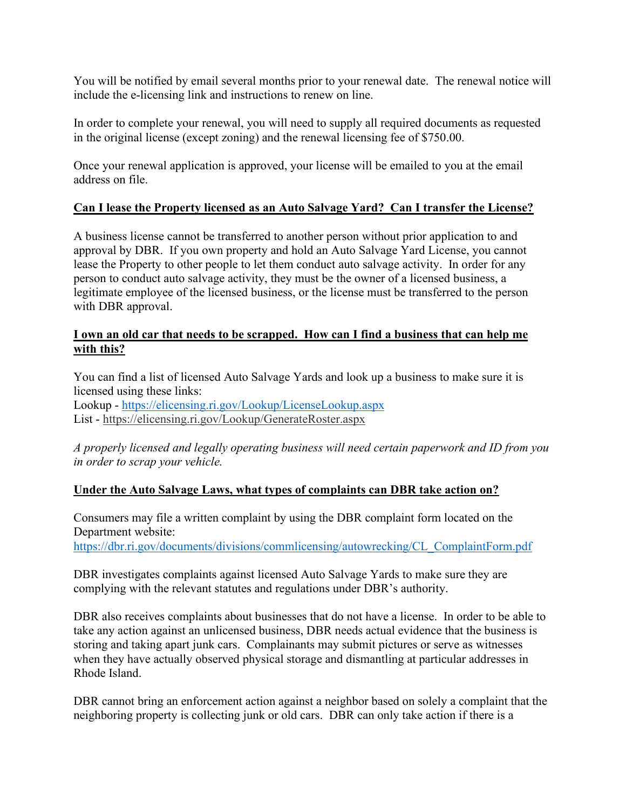You will be notified by email several months prior to your renewal date. The renewal notice will include the e-licensing link and instructions to renew on line.

In order to complete your renewal, you will need to supply all required documents as requested in the original license (except zoning) and the renewal licensing fee of \$750.00.

Once your renewal application is approved, your license will be emailed to you at the email address on file.

### **Can I lease the Property licensed as an Auto Salvage Yard? Can I transfer the License?**

A business license cannot be transferred to another person without prior application to and approval by DBR. If you own property and hold an Auto Salvage Yard License, you cannot lease the Property to other people to let them conduct auto salvage activity. In order for any person to conduct auto salvage activity, they must be the owner of a licensed business, a legitimate employee of the licensed business, or the license must be transferred to the person with DBR approval.

#### **I own an old car that needs to be scrapped. How can I find a business that can help me with this?**

You can find a list of licensed Auto Salvage Yards and look up a business to make sure it is licensed using these links: Lookup - <https://elicensing.ri.gov/Lookup/LicenseLookup.aspx> List - <https://elicensing.ri.gov/Lookup/GenerateRoster.aspx>

*A properly licensed and legally operating business will need certain paperwork and ID from you in order to scrap your vehicle.*

#### **Under the Auto Salvage Laws, what types of complaints can DBR take action on?**

Consumers may file a written complaint by using the DBR complaint form located on the Department website:

[https://dbr.ri.gov/documents/divisions/commlicensing/autowrecking/CL\\_ComplaintForm.pdf](about:blank)

DBR investigates complaints against licensed Auto Salvage Yards to make sure they are complying with the relevant statutes and regulations under DBR's authority.

DBR also receives complaints about businesses that do not have a license. In order to be able to take any action against an unlicensed business, DBR needs actual evidence that the business is storing and taking apart junk cars. Complainants may submit pictures or serve as witnesses when they have actually observed physical storage and dismantling at particular addresses in Rhode Island.

DBR cannot bring an enforcement action against a neighbor based on solely a complaint that the neighboring property is collecting junk or old cars. DBR can only take action if there is a